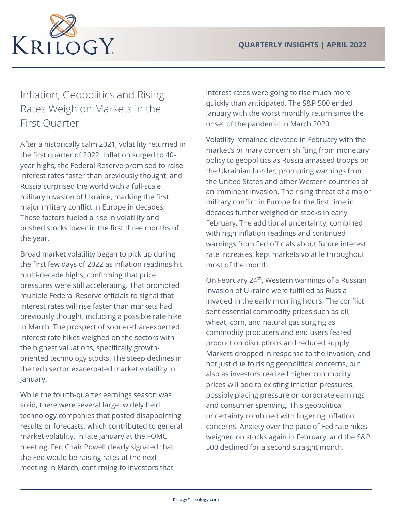

## Inflation, Geopolitics and Rising Rates Weigh on Markets in the First Quarter

After a historically calm 2021, volatility returned in the first quarter of 2022. Inflation surged to 40 year highs, the Federal Reserve promised to raise interest rates faster than previously thought, and Russia surprised the world with a full-scale military invasion of Ukraine, marking the first major military conflict in Europe in decades. Those factors fueled a rise in volatility and pushed stocks lower in the first three months of the year.

Broad market volatility began to pick up during the first few days of 2022 as inflation readings hit multi-decade highs, confirming that price pressures were still accelerating. That prompted multiple Federal Reserve officials to signal that interest rates will rise faster than markets had previously thought, including a possible rate hike in March. The prospect of sooner-than-expected interest rate hikes weighed on the sectors with the highest valuations, specifically growthoriented technology stocks. The steep declines in the tech sector exacerbated market volatility in January.

While the fourth-quarter earnings season was solid, there were several large, widely held technology companies that posted disappointing results or forecasts, which contributed to general market volatility. In late January at the FOMC meeting, Fed Chair Powell clearly signaled that the Fed would be raising rates at the next meeting in March, confirming to investors that

interest rates were going to rise much more quickly than anticipated. The S&P 500 ended January with the worst monthly return since the onset of the pandemic in March 2020.

Volatility remained elevated in February with the market's primary concern shifting from monetary policy to geopolitics as Russia amassed troops on the Ukrainian border, prompting warnings from the United States and other Western countries of an imminent invasion. The rising threat of a major military conflict in Europe for the first time in decades further weighed on stocks in early February. The additional uncertainty, combined with high inflation readings and continued warnings from Fed officials about future interest rate increases, kept markets volatile throughout most of the month.

On February 24<sup>th</sup>, Western warnings of a Russian invasion of Ukraine were fulfilled as Russia invaded in the early morning hours. The conflict sent essential commodity prices such as oil, wheat, corn, and natural gas surging as commodity producers and end users feared production disruptions and reduced supply. Markets dropped in response to the invasion, and not just due to rising geopolitical concerns, but also as investors realized higher commodity prices will add to existing inflation pressures, possibly placing pressure on corporate earnings and consumer spending. This geopolitical uncertainty combined with lingering inflation concerns. Anxiety over the pace of Fed rate hikes weighed on stocks again in February, and the S&P 500 declined for a second straight month.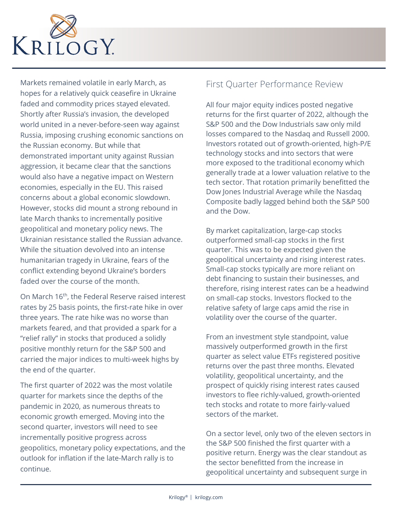

Markets remained volatile in early March, as hopes for a relatively quick ceasefire in Ukraine faded and commodity prices stayed elevated. Shortly after Russia's invasion, the developed world united in a never-before-seen way against Russia, imposing crushing economic sanctions on the Russian economy. But while that demonstrated important unity against Russian aggression, it became clear that the sanctions would also have a negative impact on Western economies, especially in the EU. This raised concerns about a global economic slowdown. However, stocks did mount a strong rebound in late March thanks to incrementally positive geopolitical and monetary policy news. The Ukrainian resistance stalled the Russian advance. While the situation devolved into an intense humanitarian tragedy in Ukraine, fears of the conflict extending beyond Ukraine's borders faded over the course of the month.

On March 16th, the Federal Reserve raised interest rates by 25 basis points, the first-rate hike in over three years. The rate hike was no worse than markets feared, and that provided a spark for a "relief rally" in stocks that produced a solidly positive monthly return for the S&P 500 and carried the major indices to multi-week highs by the end of the quarter.

The first quarter of 2022 was the most volatile quarter for markets since the depths of the pandemic in 2020, as numerous threats to economic growth emerged. Moving into the second quarter, investors will need to see incrementally positive progress across geopolitics, monetary policy expectations, and the outlook for inflation if the late-March rally is to continue.

## First Quarter Performance Review

All four major equity indices posted negative returns for the first quarter of 2022, although the S&P 500 and the Dow Industrials saw only mild losses compared to the Nasdaq and Russell 2000. Investors rotated out of growth-oriented, high-P/E technology stocks and into sectors that were more exposed to the traditional economy which generally trade at a lower valuation relative to the tech sector. That rotation primarily benefitted the Dow Jones Industrial Average while the Nasdaq Composite badly lagged behind both the S&P 500 and the Dow.

By market capitalization, large-cap stocks outperformed small-cap stocks in the first quarter. This was to be expected given the geopolitical uncertainty and rising interest rates. Small-cap stocks typically are more reliant on debt financing to sustain their businesses, and therefore, rising interest rates can be a headwind on small-cap stocks. Investors flocked to the relative safety of large caps amid the rise in volatility over the course of the quarter.

From an investment style standpoint, value massively outperformed growth in the first quarter as select value ETFs registered positive returns over the past three months. Elevated volatility, geopolitical uncertainty, and the prospect of quickly rising interest rates caused investors to flee richly-valued, growth-oriented tech stocks and rotate to more fairly-valued sectors of the market.

On a sector level, only two of the eleven sectors in the S&P 500 finished the first quarter with a positive return. Energy was the clear standout as the sector benefitted from the increase in geopolitical uncertainty and subsequent surge in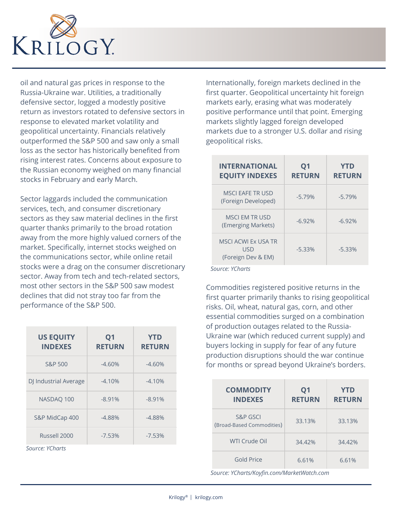

oil and natural gas prices in response to the Russia-Ukraine war. Utilities, a traditionally defensive sector, logged a modestly positive return as investors rotated to defensive sectors in response to elevated market volatility and geopolitical uncertainty. Financials relatively outperformed the S&P 500 and saw only a small loss as the sector has historically benefited from rising interest rates. Concerns about exposure to the Russian economy weighed on many financial stocks in February and early March.

Sector laggards included the communication services, tech, and consumer discretionary sectors as they saw material declines in the first quarter thanks primarily to the broad rotation away from the more highly valued corners of the market. Specifically, internet stocks weighed on the communications sector, while online retail stocks were a drag on the consumer discretionary sector. Away from tech and tech-related sectors, most other sectors in the S&P 500 saw modest declines that did not stray too far from the performance of the S&P 500.

| <b>US EQUITY</b><br><b>INDEXES</b> | Q <sub>1</sub><br><b>RETURN</b> | <b>YTD</b><br><b>RETURN</b> |
|------------------------------------|---------------------------------|-----------------------------|
| <b>S&amp;P 500</b>                 | $-4.60%$                        | $-4.60%$                    |
| DJ Industrial Average              | $-4.10%$                        | $-4.10%$                    |
| NASDAQ 100                         | $-8.91%$                        | $-8.91%$                    |
| S&P MidCap 400                     | $-4.88%$                        | $-4.88%$                    |
| Russell 2000                       | $-7.53%$                        | $-7.53%$                    |

*Source: YCharts*

Internationally, foreign markets declined in the first quarter. Geopolitical uncertainty hit foreign markets early, erasing what was moderately positive performance until that point. Emerging markets slightly lagged foreign developed markets due to a stronger U.S. dollar and rising geopolitical risks.

| INTERNATIONAL<br><b>EQUITY INDEXES</b>                  | Q <sub>1</sub><br><b>RETURN</b> | <b>YTD</b><br><b>RETURN</b> |
|---------------------------------------------------------|---------------------------------|-----------------------------|
| MSCLEAFE TRUSD<br>(Foreign Developed)                   | $-5.79%$                        | $-5.79%$                    |
| MSCLEM TR USD<br>(Emerging Markets)                     | $-6.92%$                        | $-6.92%$                    |
| <b>MSCI ACWI Ex USA TR</b><br>USD<br>(Foreign Dev & EM) | $-5.33%$                        | $-5.33%$                    |

 *Source: YCharts*

Commodities registered positive returns in the first quarter primarily thanks to rising geopolitical risks. Oil, wheat, natural gas, corn, and other essential commodities surged on a combination of production outages related to the Russia-Ukraine war (which reduced current supply) and buyers locking in supply for fear of any future production disruptions should the war continue for months or spread beyond Ukraine's borders.

| <b>COMMODITY</b><br><b>INDEXES</b>    | Q <sub>1</sub><br><b>RETURN</b> | <b>YTD</b><br><b>RETURN</b> |
|---------------------------------------|---------------------------------|-----------------------------|
| S&P GSCI<br>(Broad-Based Commodities) | 33.13%                          | 33.13%                      |
| WTI Crude Oil                         | 34.42%                          | 34.42%                      |
| Gold Price                            | 6.61%                           | 6.61%                       |

 *Source: YCharts/Koyfin.com/MarketWatch.com*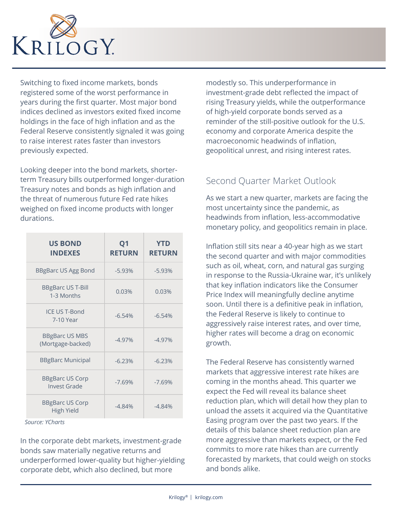

Switching to fixed income markets, bonds registered some of the worst performance in years during the first quarter. Most major bond indices declined as investors exited fixed income holdings in the face of high inflation and as the Federal Reserve consistently signaled it was going to raise interest rates faster than investors previously expected.

Looking deeper into the bond markets, shorterterm Treasury bills outperformed longer-duration Treasury notes and bonds as high inflation and the threat of numerous future Fed rate hikes weighed on fixed income products with longer durations.

| <b>US BOND</b><br><b>INDEXES</b>              | Q <sub>1</sub><br><b>RETURN</b> | <b>YTD</b><br><b>RETURN</b> |
|-----------------------------------------------|---------------------------------|-----------------------------|
| <b>BBgBarc US Agg Bond</b>                    | $-5.93%$                        | $-5.93%$                    |
| <b>BBgBarc US T-Bill</b><br>1-3 Months        | 0.03%                           | 0.03%                       |
| <b>ICE US T-Bond</b><br>7-10 Year             | $-6.54%$                        | $-6.54%$                    |
| <b>BBgBarc US MBS</b><br>(Mortgage-backed)    | $-4.97%$                        | $-4.97%$                    |
| <b>BBgBarc Municipal</b>                      | $-6.23%$                        | $-6.23%$                    |
| <b>BBgBarc US Corp</b><br><b>Invest Grade</b> | $-7.69%$                        | $-7.69%$                    |
| <b>BBgBarc US Corp</b><br><b>High Yield</b>   | $-4.84%$                        | $-4.84%$                    |

 *Source: YCharts*

In the corporate debt markets, investment-grade bonds saw materially negative returns and underperformed lower-quality but higher-yielding corporate debt, which also declined, but more

modestly so. This underperformance in investment-grade debt reflected the impact of rising Treasury yields, while the outperformance of high-yield corporate bonds served as a reminder of the still-positive outlook for the U.S. economy and corporate America despite the macroeconomic headwinds of inflation, geopolitical unrest, and rising interest rates.

## Second Quarter Market Outlook

As we start a new quarter, markets are facing the most uncertainty since the pandemic, as headwinds from inflation, less-accommodative monetary policy, and geopolitics remain in place.

Inflation still sits near a 40-year high as we start the second quarter and with major commodities such as oil, wheat, corn, and natural gas surging in response to the Russia-Ukraine war, it's unlikely that key inflation indicators like the Consumer Price Index will meaningfully decline anytime soon. Until there is a definitive peak in inflation, the Federal Reserve is likely to continue to aggressively raise interest rates, and over time, higher rates will become a drag on economic growth.

The Federal Reserve has consistently warned markets that aggressive interest rate hikes are coming in the months ahead. This quarter we expect the Fed will reveal its balance sheet reduction plan, which will detail how they plan to unload the assets it acquired via the Quantitative Easing program over the past two years. If the details of this balance sheet reduction plan are more aggressive than markets expect, or the Fed commits to more rate hikes than are currently forecasted by markets, that could weigh on stocks and bonds alike.